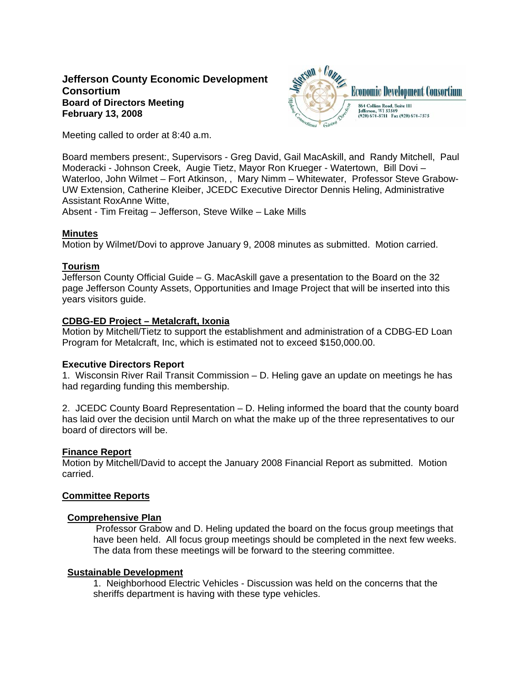# **Jefferson County Economic Development Consortium Board of Directors Meeting February 13, 2008**



Meeting called to order at 8:40 a.m.

Board members present:, Supervisors - Greg David, Gail MacAskill, and Randy Mitchell, Paul Moderacki - Johnson Creek, Augie Tietz, Mayor Ron Krueger - Watertown, Bill Dovi – Waterloo, John Wilmet – Fort Atkinson, , Mary Nimm – Whitewater, Professor Steve Grabow-UW Extension, Catherine Kleiber, JCEDC Executive Director Dennis Heling, Administrative Assistant RoxAnne Witte,

Absent - Tim Freitag – Jefferson, Steve Wilke – Lake Mills

# **Minutes**

Motion by Wilmet/Dovi to approve January 9, 2008 minutes as submitted. Motion carried.

## **Tourism**

Jefferson County Official Guide – G. MacAskill gave a presentation to the Board on the 32 page Jefferson County Assets, Opportunities and Image Project that will be inserted into this years visitors guide.

## **CDBG-ED Project – Metalcraft, Ixonia**

Motion by Mitchell/Tietz to support the establishment and administration of a CDBG-ED Loan Program for Metalcraft, Inc, which is estimated not to exceed \$150,000.00.

### **Executive Directors Report**

1. Wisconsin River Rail Transit Commission – D. Heling gave an update on meetings he has had regarding funding this membership.

2. JCEDC County Board Representation – D. Heling informed the board that the county board has laid over the decision until March on what the make up of the three representatives to our board of directors will be.

# **Finance Report**

Motion by Mitchell/David to accept the January 2008 Financial Report as submitted. Motion carried.

### **Committee Reports**

### **Comprehensive Plan**

 Professor Grabow and D. Heling updated the board on the focus group meetings that have been held. All focus group meetings should be completed in the next few weeks. The data from these meetings will be forward to the steering committee.

### **Sustainable Development**

1. Neighborhood Electric Vehicles - Discussion was held on the concerns that the sheriffs department is having with these type vehicles.